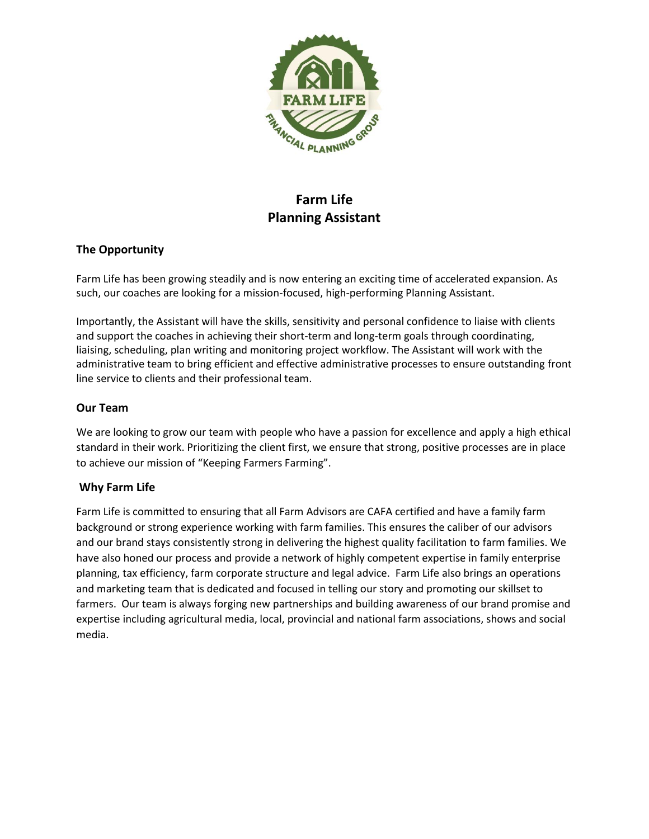

# **Farm Life Planning Assistant**

## **The Opportunity**

Farm Life has been growing steadily and is now entering an exciting time of accelerated expansion. As such, our coaches are looking for a mission-focused, high-performing Planning Assistant.

Importantly, the Assistant will have the skills, sensitivity and personal confidence to liaise with clients and support the coaches in achieving their short-term and long-term goals through coordinating, liaising, scheduling, plan writing and monitoring project workflow. The Assistant will work with the administrative team to bring efficient and effective administrative processes to ensure outstanding front line service to clients and their professional team.

#### **Our Team**

We are looking to grow our team with people who have a passion for excellence and apply a high ethical standard in their work. Prioritizing the client first, we ensure that strong, positive processes are in place to achieve our mission of "Keeping Farmers Farming".

#### **Why Farm Life**

Farm Life is committed to ensuring that all Farm Advisors are CAFA certified and have a family farm background or strong experience working with farm families. This ensures the caliber of our advisors and our brand stays consistently strong in delivering the highest quality facilitation to farm families. We have also honed our process and provide a network of highly competent expertise in family enterprise planning, tax efficiency, farm corporate structure and legal advice. Farm Life also brings an operations and marketing team that is dedicated and focused in telling our story and promoting our skillset to farmers. Our team is always forging new partnerships and building awareness of our brand promise and expertise including agricultural media, local, provincial and national farm associations, shows and social media.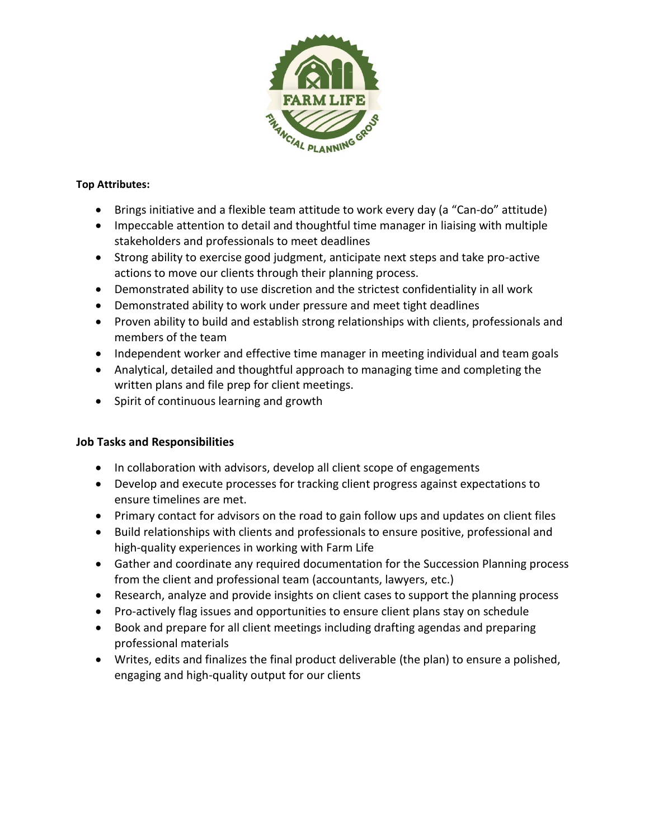

## **Top Attributes:**

- Brings initiative and a flexible team attitude to work every day (a "Can-do" attitude)
- Impeccable attention to detail and thoughtful time manager in liaising with multiple stakeholders and professionals to meet deadlines
- Strong ability to exercise good judgment, anticipate next steps and take pro-active actions to move our clients through their planning process.
- Demonstrated ability to use discretion and the strictest confidentiality in all work
- Demonstrated ability to work under pressure and meet tight deadlines
- Proven ability to build and establish strong relationships with clients, professionals and members of the team
- Independent worker and effective time manager in meeting individual and team goals
- Analytical, detailed and thoughtful approach to managing time and completing the written plans and file prep for client meetings.
- Spirit of continuous learning and growth

# **Job Tasks and Responsibilities**

- In collaboration with advisors, develop all client scope of engagements
- Develop and execute processes for tracking client progress against expectations to ensure timelines are met.
- Primary contact for advisors on the road to gain follow ups and updates on client files
- Build relationships with clients and professionals to ensure positive, professional and high-quality experiences in working with Farm Life
- Gather and coordinate any required documentation for the Succession Planning process from the client and professional team (accountants, lawyers, etc.)
- Research, analyze and provide insights on client cases to support the planning process
- Pro-actively flag issues and opportunities to ensure client plans stay on schedule
- Book and prepare for all client meetings including drafting agendas and preparing professional materials
- Writes, edits and finalizes the final product deliverable (the plan) to ensure a polished, engaging and high-quality output for our clients